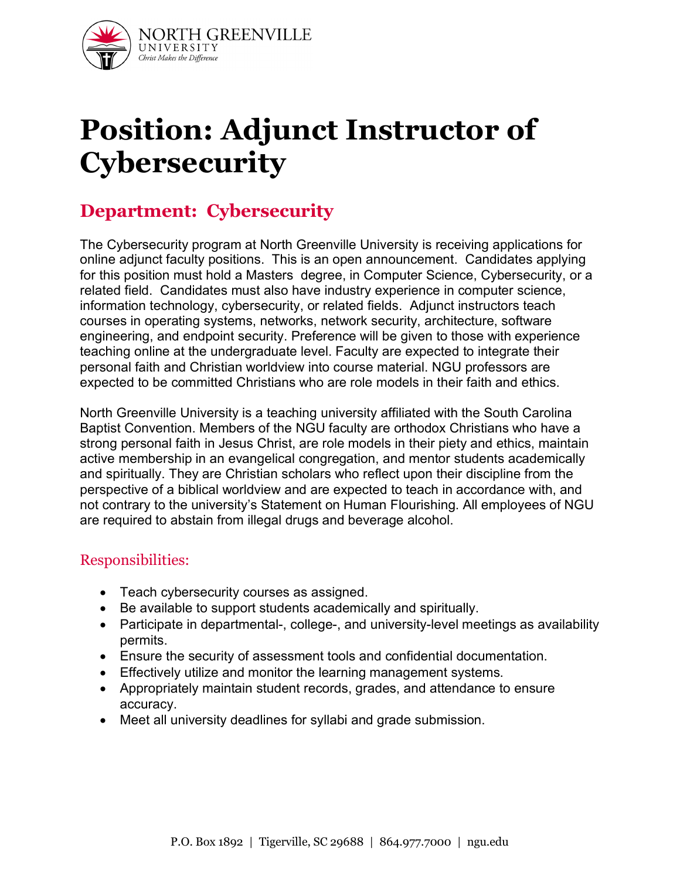

# **Position: Adjunct Instructor of Cybersecurity**

# **Department: Cybersecurity**

The Cybersecurity program at North Greenville University is receiving applications for online adjunct faculty positions. This is an open announcement. Candidates applying for this position must hold a Masters degree, in Computer Science, Cybersecurity, or a related field. Candidates must also have industry experience in computer science, information technology, cybersecurity, or related fields. Adjunct instructors teach courses in operating systems, networks, network security, architecture, software engineering, and endpoint security. Preference will be given to those with experience teaching online at the undergraduate level. Faculty are expected to integrate their personal faith and Christian worldview into course material. NGU professors are expected to be committed Christians who are role models in their faith and ethics.

North Greenville University is a teaching university affiliated with the South Carolina Baptist Convention. Members of the NGU faculty are orthodox Christians who have a strong personal faith in Jesus Christ, are role models in their piety and ethics, maintain active membership in an evangelical congregation, and mentor students academically and spiritually. They are Christian scholars who reflect upon their discipline from the perspective of a biblical worldview and are expected to teach in accordance with, and not contrary to the university's Statement on Human Flourishing. All employees of NGU are required to abstain from illegal drugs and beverage alcohol.

#### Responsibilities:

- Teach cybersecurity courses as assigned.
- Be available to support students academically and spiritually.
- Participate in departmental-, college-, and university-level meetings as availability permits.
- Ensure the security of assessment tools and confidential documentation.
- Effectively utilize and monitor the learning management systems.
- Appropriately maintain student records, grades, and attendance to ensure accuracy.
- Meet all university deadlines for syllabi and grade submission.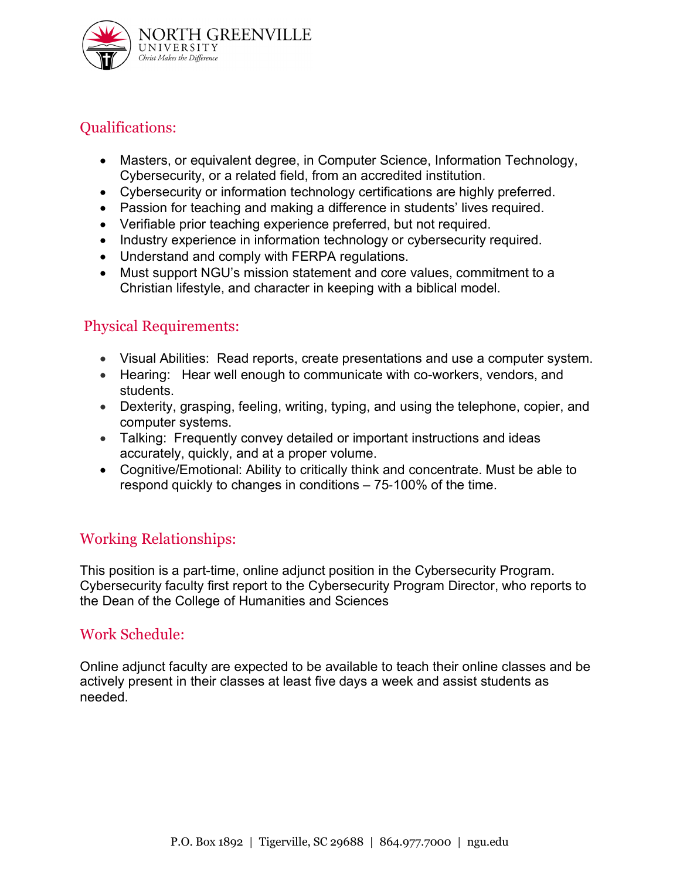

# Qualifications:

- Masters, or equivalent degree, in Computer Science, Information Technology, Cybersecurity, or a related field, from an accredited institution.
- Cybersecurity or information technology certifications are highly preferred.
- Passion for teaching and making a difference in students' lives required.
- Verifiable prior teaching experience preferred, but not required.
- Industry experience in information technology or cybersecurity required.
- Understand and comply with FERPA regulations.
- Must support NGU's mission statement and core values, commitment to a Christian lifestyle, and character in keeping with a biblical model.

### Physical Requirements:

- Visual Abilities: Read reports, create presentations and use a computer system.
- Hearing: Hear well enough to communicate with co-workers, vendors, and students.
- Dexterity, grasping, feeling, writing, typing, and using the telephone, copier, and computer systems.
- Talking: Frequently convey detailed or important instructions and ideas accurately, quickly, and at a proper volume.
- Cognitive/Emotional: Ability to critically think and concentrate. Must be able to respond quickly to changes in conditions – 75‐100% of the time.

### Working Relationships:

This position is a part-time, online adjunct position in the Cybersecurity Program. Cybersecurity faculty first report to the Cybersecurity Program Director, who reports to the Dean of the College of Humanities and Sciences

#### Work Schedule:

Online adjunct faculty are expected to be available to teach their online classes and be actively present in their classes at least five days a week and assist students as needed.